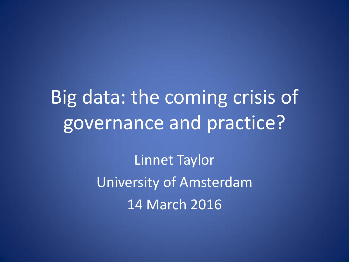Big data: the coming crisis of governance and practice?

> Linnet Taylor University of Amsterdam 14 March 2016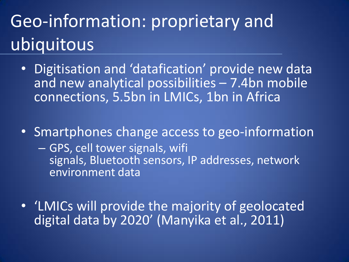# Geo-information: proprietary and ubiquitous

- Digitisation and datafication' provide new data and new analytical possibilities – 7.4bn mobile connections, 5.5bn in LMICs, 1bn in Africa
- Smartphones change access to geo-information
	- GPS, cell tower signals, wifi signals, Bluetooth sensors, IP addresses, network environment data
- 'LMICs will provide the majority of geolocated digital data by 2020' (Manyika et al., 2011)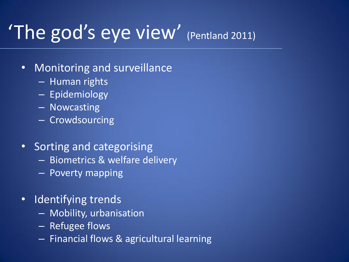# 'The god's eye view' (Pentland 2011)

#### • Monitoring and surveillance

- Human rights
- Epidemiology
- Nowcasting
- Crowdsourcing
- Sorting and categorising
	- Biometrics & welfare delivery
	- Poverty mapping
- Identifying trends
	- Mobility, urbanisation
	- Refugee flows
	- Financial flows & agricultural learning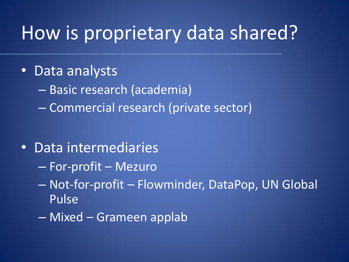### How is proprietary data shared?

#### • Data analysts

- Basic research (academia)
- Commercial research (private sector)

#### • Data intermediaries

- For-profit Mezuro
- Not-for-profit Flowminder, DataPop, UN Global Pulse
- Mixed Grameen applab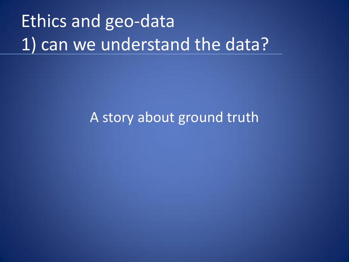# Ethics and geo-data 1) can we understand the data?

#### A story about ground truth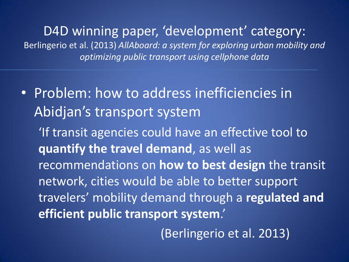D4D winning paper, 'development' category: Berlingerio et al. (2013) *AllAboard: a system for exploring urban mobility and optimizing public transport using cellphone data*

• Problem: how to address inefficiencies in Abidjan's transport system

'If transit agencies could have an effective tool to **quantify the travel demand**, as well as recommendations on **how to best design** the transit network, cities would be able to better support travelers' mobility demand through a **regulated and efficient public transport system**.'

(Berlingerio et al. 2013)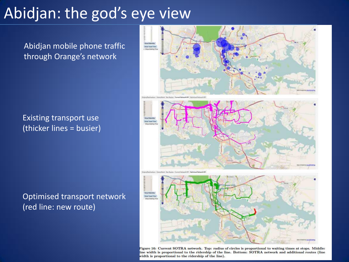#### Abidjan: the god's eye view

Abidjan mobile phone traffic through Orange's network

Existing transport use (thicker lines = busier)

Optimised transport network (red line: new route)



Figure 16: Current SOTRA network. Top: radius of circles is proportional to waiting times at stops. Middle: line width is proportional to the ridership of the line. Bottom: SOTRA network and additional routes (line width is proportional to the ridership of the line).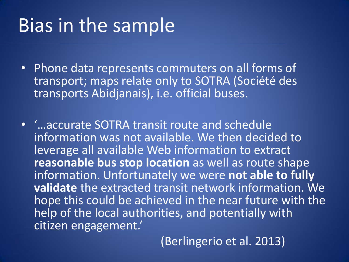### Bias in the sample

- Phone data represents commuters on all forms of transport; maps relate only to SOTRA (Société des transports Abidjanais), i.e. official buses.
- '…accurate SOTRA transit route and schedule information was not available. We then decided to leverage all available Web information to extract **reasonable bus stop location** as well as route shape information. Unfortunately we were **not able to fully validate** the extracted transit network information. We hope this could be achieved in the near future with the help of the local authorities, and potentially with citizen engagement.'

(Berlingerio et al. 2013)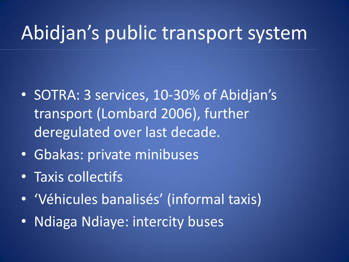### Abidjan's public transport system

- SOTRA: 3 services, 10-30% of Abidjan's transport (Lombard 2006), further deregulated over last decade.
- Gbakas: private minibuses
- Taxis collectifs
- 'Véhicules banalisés' (informal taxis)
- Ndiaga Ndiaye: intercity buses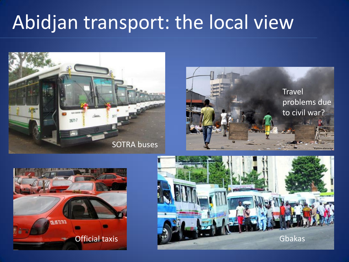# Abidjan transport: the local view







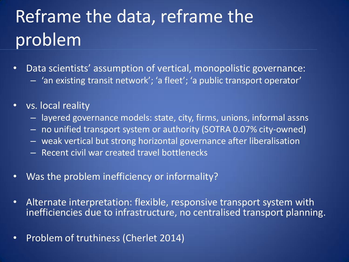# Reframe the data, reframe the problem

- Data scientists' assumption of vertical, monopolistic governance: – 'an existing transit network'; 'a fleet'; 'a public transport operator'
- vs. local reality
	- layered governance models: state, city, firms, unions, informal assns
	- no unified transport system or authority (SOTRA 0.07% city-owned)
	- weak vertical but strong horizontal governance after liberalisation
	- Recent civil war created travel bottlenecks
- Was the problem inefficiency or informality?
- Alternate interpretation: flexible, responsive transport system with inefficiencies due to infrastructure, no centralised transport planning.
- Problem of truthiness (Cherlet 2014)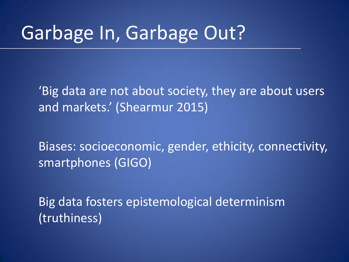### Garbage In, Garbage Out?

'Big data are not about society, they are about users and markets.' (Shearmur 2015)

Biases: socioeconomic, gender, ethicity, connectivity, smartphones (GIGO)

Big data fosters epistemological determinism (truthiness)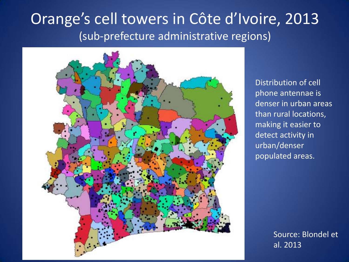#### Orange's cell towers in Côte d'Ivoire, 2013 (sub-prefecture administrative regions)



Distribution of cell phone antennae is denser in urban areas than rural locations, making it easier to detect activity in urban/denser populated areas.

> Source: Blondel et al. 2013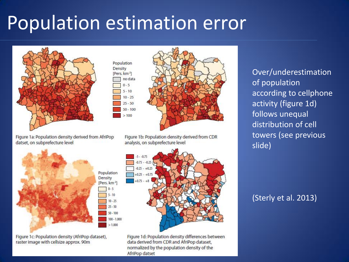# Population estimation error

Population Density [Pers. km<sup>-2</sup>] no data  $0 - 5$  $5 - 10$  $10 - 25$  $25 - 50$  $50 - 100$  $>100$ 



Figure 1a: Population density derived from AfriPop datset, on subprefecture level



Figure 1c: Population density (AfriPop dataset), raster image with cellsize approx. 90m



Figure 1b: Population density derived from CDR

Figure 1d: Population density differences between data derived from CDR and AfriPop dataset, normalized by the population density of the AfriPop datset

Over/underestimation of population according to cellphone activity (figure 1d) follows unequal distribution of cell towers (see previous slide)

(Sterly et al. 2013)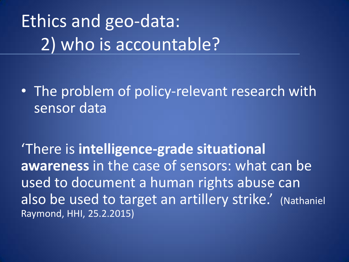# Ethics and geo-data: 2) who is accountable?

• The problem of policy-relevant research with sensor data

'There is **intelligence-grade situational awareness** in the case of sensors: what can be used to document a human rights abuse can also be used to target an artillery strike.' (Nathaniel Raymond, HHI, 25.2.2015)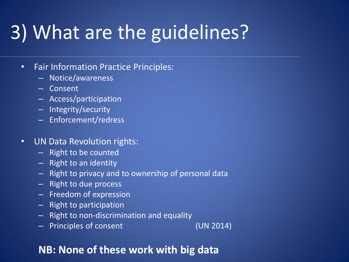# 3) What are the guidelines?

#### • Fair Information Practice Principles:

- Notice/awareness
- Consent
- Access/participation
- Integrity/security
- Enforcement/redress
- UN Data Revolution rights:
	- Right to be counted
	- Right to an identity
	- Right to privacy and to ownership of personal data
	- Right to due process
	- Freedom of expression
	- Right to participation
	- Right to non-discrimination and equality
	- Principles of consent (UN 2014)

#### **NB: None of these work with big data**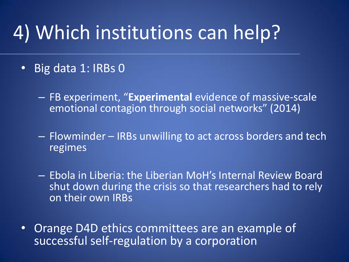## 4) Which institutions can help?

#### • Big data 1: IRBs 0

- FB experiment, "**Experimental** evidence of massive-scale emotional contagion through social networks" (2014)
- Flowminder IRBs unwilling to act across borders and tech regimes
- Ebola in Liberia: the Liberian MoH's Internal Review Board shut down during the crisis so that researchers had to rely on their own IRBs
- Orange D4D ethics committees are an example of successful self-regulation by a corporation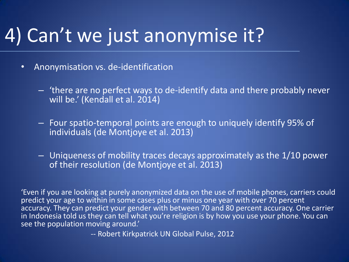# 4) Can't we just anonymise it?

- Anonymisation vs. de-identification
	- 'there are no perfect ways to de-identify data and there probably never will be.' (Kendall et al. 2014)
	- Four spatio-temporal points are enough to uniquely identify 95% of individuals (de Montjoye et al. 2013)
	- Uniqueness of mobility traces decays approximately as the 1/10 power of their resolution (de Montjoye et al. 2013)

'Even if you are looking at purely anonymized data on the use of mobile phones, carriers could predict your age to within in some cases plus or minus one year with over 70 percent accuracy. They can predict your gender with between 70 and 80 percent accuracy. One carrier in Indonesia told us they can tell what you're religion is by how you use your phone. You can see the population moving around.'

-- Robert Kirkpatrick UN Global Pulse, 2012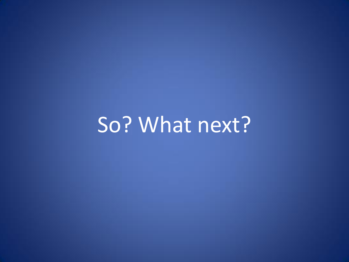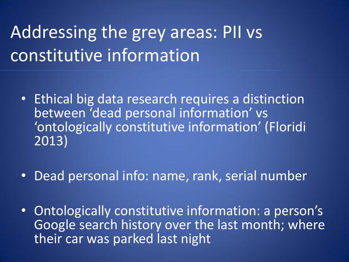## Addressing the grey areas: PII vs constitutive information

- Ethical big data research requires a distinction between 'dead personal information' vs 'ontologically constitutive information' (Floridi 2013)
- Dead personal info: name, rank, serial number
- Ontologically constitutive information: a person's Google search history over the last month; where their car was parked last night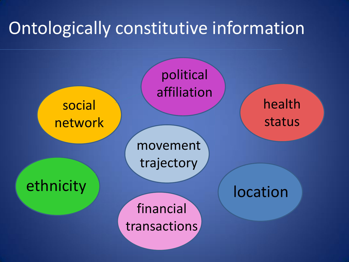#### Ontologically constitutive information

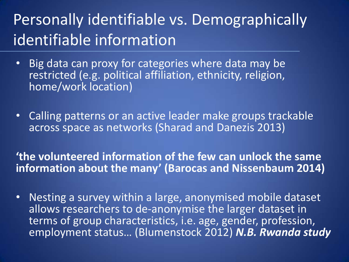#### Personally identifiable vs. Demographically identifiable information

- Big data can proxy for categories where data may be restricted (e.g. political affiliation, ethnicity, religion, home/work location)
- Calling patterns or an active leader make groups trackable across space as networks (Sharad and Danezis 2013)

**'the volunteered information of the few can unlock the same information about the many' (Barocas and Nissenbaum 2014)**

• Nesting a survey within a large, anonymised mobile dataset allows researchers to de-anonymise the larger dataset in terms of group characteristics, i.e. age, gender, profession, employment status… (Blumenstock 2012) *N.B. Rwanda study*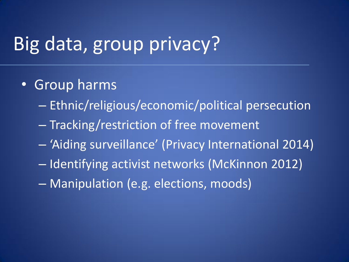### Big data, group privacy?

- Group harms
	- Ethnic/religious/economic/political persecution
	- Tracking/restriction of free movement
	- 'Aiding surveillance' (Privacy International 2014)
	- Identifying activist networks (McKinnon 2012)
	- Manipulation (e.g. elections, moods)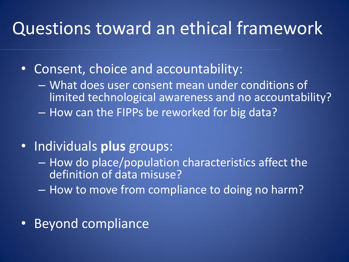#### Questions toward an ethical framework

- Consent, choice and accountability:
	- What does user consent mean under conditions of limited technological awareness and no accountability? – How can the FIPPs be reworked for big data?
- Individuals **plus** groups:
	- How do place/population characteristics affect the definition of data misuse?
	- How to move from compliance to doing no harm?
- Beyond compliance